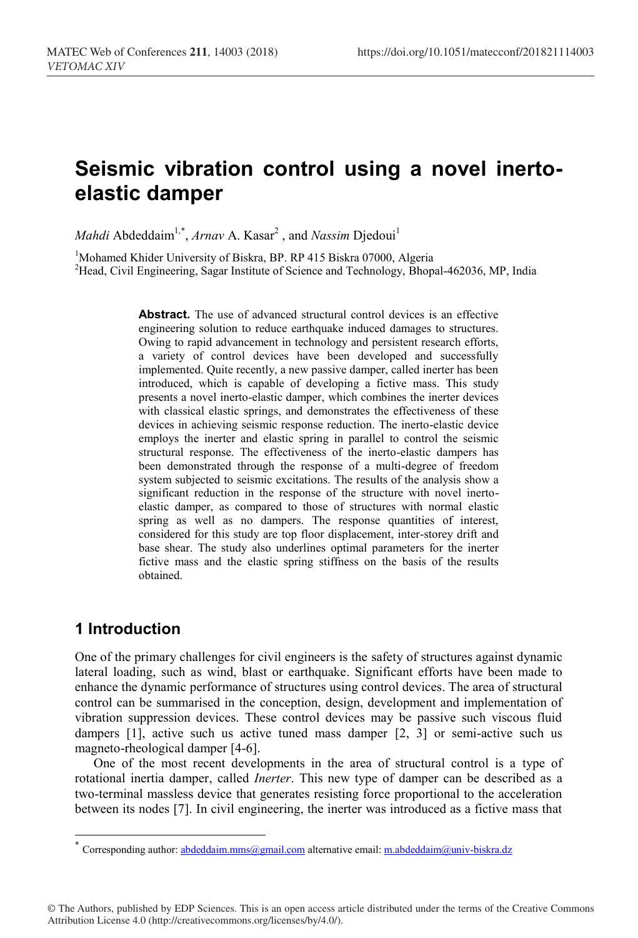# **Seismic vibration control using a novel inertoelastic damper**

*Mahdi* Abdeddaim<sup>1,\*</sup>, *Arnav* A. Kasar<sup>2</sup>, and *Nassim* Djedoui<sup>1</sup>

<sup>1</sup>Mohamed Khider University of Biskra, BP. RP 415 Biskra 07000, Algeria<br><sup>2</sup>Head, Civil Engineering, Sagar Institute of Science and Technology, Bhone <sup>2</sup>Head, Civil Engineering, Sagar Institute of Science and Technology, Bhopal-462036, MP, India

> Abstract. The use of advanced structural control devices is an effective engineering solution to reduce earthquake induced damages to structures. Owing to rapid advancement in technology and persistent research efforts, a variety of control devices have been developed and successfully implemented. Quite recently, a new passive damper, called inerter has been introduced, which is capable of developing a fictive mass. This study presents a novel inerto-elastic damper, which combines the inerter devices with classical elastic springs, and demonstrates the effectiveness of these devices in achieving seismic response reduction. The inerto-elastic device employs the inerter and elastic spring in parallel to control the seismic structural response. The effectiveness of the inerto-elastic dampers has been demonstrated through the response of a multi-degree of freedom system subjected to seismic excitations. The results of the analysis show a significant reduction in the response of the structure with novel inertoelastic damper, as compared to those of structures with normal elastic spring as well as no dampers. The response quantities of interest, considered for this study are top floor displacement, inter-storey drift and base shear. The study also underlines optimal parameters for the inerter fictive mass and the elastic spring stiffness on the basis of the results obtained.

### **1 Introduction**

 $\overline{\phantom{a}}$ 

One of the primary challenges for civil engineers is the safety of structures against dynamic lateral loading, such as wind, blast or earthquake. Significant efforts have been made to enhance the dynamic performance of structures using control devices. The area of structural control can be summarised in the conception, design, development and implementation of vibration suppression devices. These control devices may be passive such viscous fluid dampers [1], active such us active tuned mass damper [2, 3] or semi-active such us magneto-rheological damper [4-6].

One of the most recent developments in the area of structural control is a type of rotational inertia damper, called *Inerter*. This new type of damper can be described as a two-terminal massless device that generates resisting force proportional to the acceleration between its nodes [7]. In civil engineering, the inerter was introduced as a fictive mass that

© The Authors, published by EDP Sciences. This is an open access article distributed under the terms of the Creative Commons Attribution License 4.0 (http://creativecommons.org/licenses/by/4.0/).

 $\sum_{k=1}^{\infty}$  Corresponding author: abdeddaim.mms@gmail.com alternative email: m.abdeddaim@univ-biskra.dz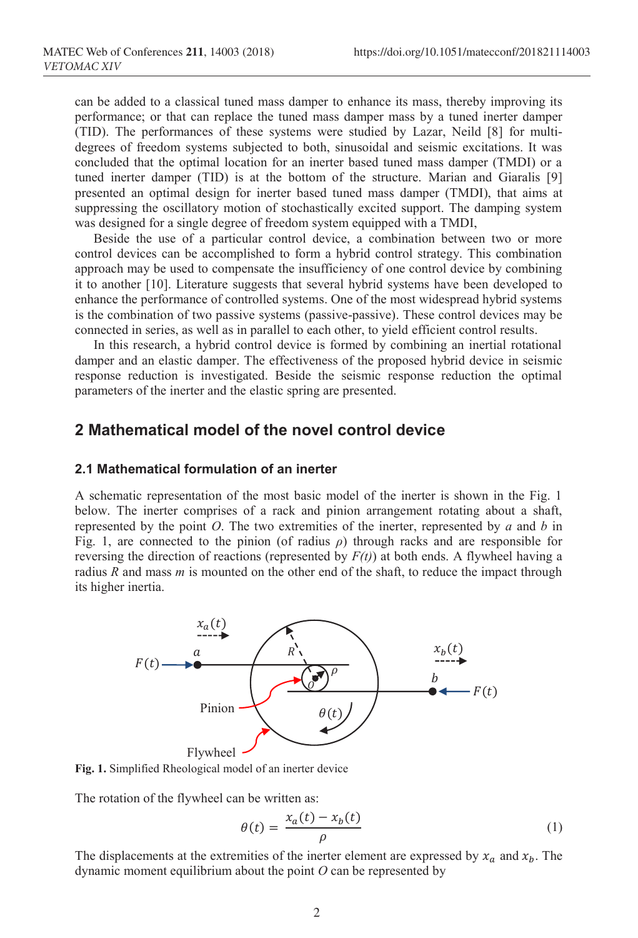can be added to a classical tuned mass damper to enhance its mass, thereby improving its performance; or that can replace the tuned mass damper mass by a tuned inerter damper (TID). The performances of these systems were studied by Lazar, Neild [8] for multidegrees of freedom systems subjected to both, sinusoidal and seismic excitations. It was concluded that the optimal location for an inerter based tuned mass damper (TMDI) or a tuned inerter damper (TID) is at the bottom of the structure. Marian and Giaralis [9] presented an optimal design for inerter based tuned mass damper (TMDI), that aims at suppressing the oscillatory motion of stochastically excited support. The damping system was designed for a single degree of freedom system equipped with a TMDI,

Beside the use of a particular control device, a combination between two or more control devices can be accomplished to form a hybrid control strategy. This combination approach may be used to compensate the insufficiency of one control device by combining it to another [10]. Literature suggests that several hybrid systems have been developed to enhance the performance of controlled systems. One of the most widespread hybrid systems is the combination of two passive systems (passive-passive). These control devices may be connected in series, as well as in parallel to each other, to yield efficient control results.

In this research, a hybrid control device is formed by combining an inertial rotational damper and an elastic damper. The effectiveness of the proposed hybrid device in seismic response reduction is investigated. Beside the seismic response reduction the optimal parameters of the inerter and the elastic spring are presented.

### **2 Mathematical model of the novel control device**

#### **2.1 Mathematical formulation of an inerter**

A schematic representation of the most basic model of the inerter is shown in the Fig. 1 below. The inerter comprises of a rack and pinion arrangement rotating about a shaft, represented by the point *O*. The two extremities of the inerter, represented by *a* and *b* in Fig. 1, are connected to the pinion (of radius *ρ*) through racks and are responsible for reversing the direction of reactions (represented by  $F(t)$ ) at both ends. A flywheel having a radius *R* and mass *m* is mounted on the other end of the shaft, to reduce the impact through its higher inertia.



**Fig. 1.** Simplified Rheological model of an inerter device

The rotation of the flywheel can be written as:

$$
\theta(t) = \frac{x_a(t) - x_b(t)}{\rho} \tag{1}
$$

The displacements at the extremities of the inerter element are expressed by  $x_a$  and  $x_b$ . The dynamic moment equilibrium about the point *O* can be represented by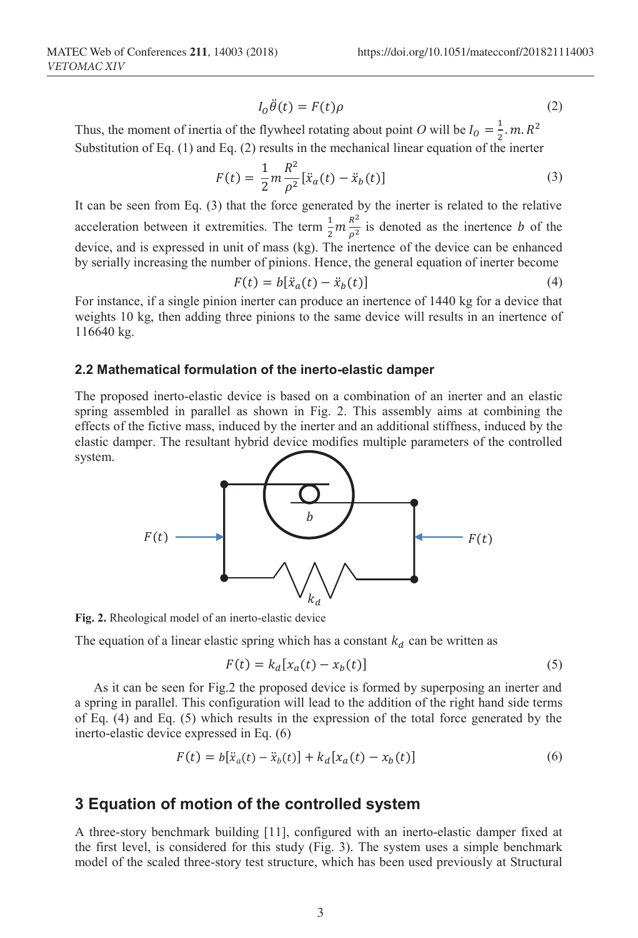$$
I_0\ddot{\theta}(t) = F(t)\rho \tag{2}
$$

Thus, the moment of inertia of the flywheel rotating about point *O* will be  $I_0 = \frac{1}{2}$ . m.  $R^2$ Substitution of Eq. (1) and Eq. (2) results in the mechanical linear equation of the inerter

$$
F(t) = \frac{1}{2}m\frac{R^2}{\rho^2}[\ddot{x}_a(t) - \ddot{x}_b(t)]
$$
\n(3)

It can be seen from Eq. (3) that the force generated by the inerter is related to the relative acceleration between it extremities. The term  $\frac{1}{2}m \frac{n}{\rho^2}$  is denoted as the inertence *b* of the device, and is expressed in unit of mass (kg). The inertence of the device can be enhanced by serially increasing the number of pinions. Hence, the general equation of inerter become

$$
F(t) = b[\ddot{x}_a(t) - \ddot{x}_b(t)] \tag{4}
$$

For instance, if a single pinion inerter can produce an inertence of 1440 kg for a device that weights 10 kg, then adding three pinions to the same device will results in an inertence of 116640 kg.

#### **2.2 Mathematical formulation of the inerto-elastic damper**

The proposed inerto-elastic device is based on a combination of an inerter and an elastic spring assembled in parallel as shown in Fig. 2. This assembly aims at combining the effects of the fictive mass, induced by the inerter and an additional stiffness, induced by the elastic damper. The resultant hybrid device modifies multiple parameters of the controlled system.



**Fig. 2.** Rheological model of an inerto-elastic device

The equation of a linear elastic spring which has a constant  $k_d$  can be written as

$$
F(t) = k_d[x_a(t) - x_b(t)]
$$
\n(5)

As it can be seen for Fig.2 the proposed device is formed by superposing an inerter and a spring in parallel. This configuration will lead to the addition of the right hand side terms of Eq. (4) and Eq. (5) which results in the expression of the total force generated by the inerto-elastic device expressed in Eq. (6)

$$
F(t) = b[\ddot{x}_a(t) - \ddot{x}_b(t)] + k_d[x_a(t) - x_b(t)]
$$
\n(6)

### **3 Equation of motion of the controlled system**

A three-story benchmark building [11], configured with an inerto-elastic damper fixed at the first level, is considered for this study (Fig. 3). The system uses a simple benchmark model of the scaled three-story test structure, which has been used previously at Structural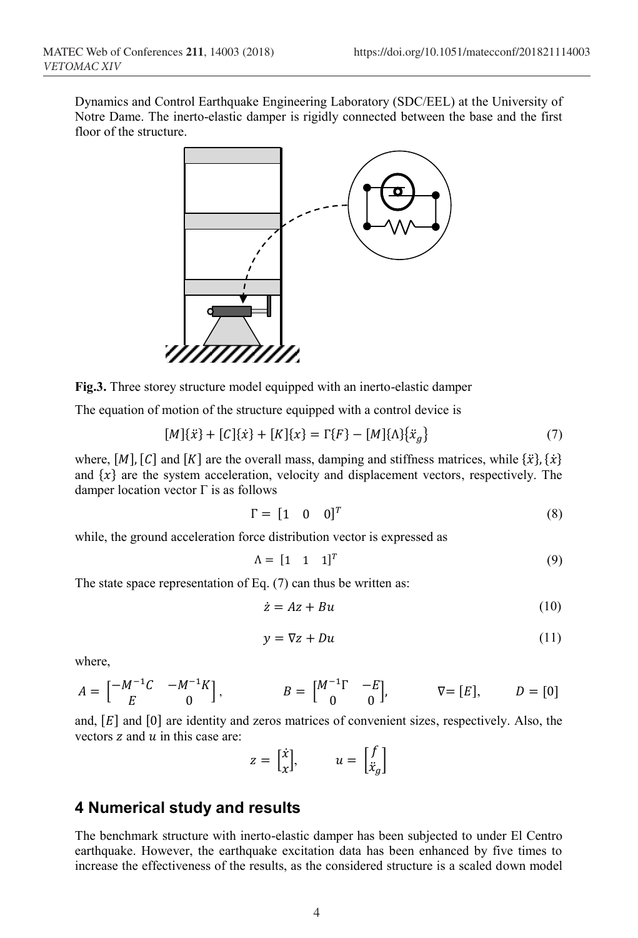Dynamics and Control Earthquake Engineering Laboratory (SDC/EEL) at the University of Notre Dame. The inerto-elastic damper is rigidly connected between the base and the first floor of the structure.



**Fig.3.** Three storey structure model equipped with an inerto-elastic damper

The equation of motion of the structure equipped with a control device is

$$
[M]{\ddot{x}} + [C]{\dot{x}} + [K]{x} = \Gamma{F} - [M]{\Lambda}{\ddot{x}}_{g}
$$
 (7)

where,  $[M]$ ,  $[C]$  and  $[K]$  are the overall mass, damping and stiffness matrices, while  $\{\ddot{x}\}, \{\dot{x}\}$ and  $\{x\}$  are the system acceleration, velocity and displacement vectors, respectively. The damper location vector Γ is as follows

$$
\Gamma = \begin{bmatrix} 1 & 0 & 0 \end{bmatrix}^T \tag{8}
$$

while, the ground acceleration force distribution vector is expressed as

$$
\Lambda = \begin{bmatrix} 1 & 1 & 1 \end{bmatrix}^T \tag{9}
$$

The state space representation of Eq. (7) can thus be written as:

$$
\dot{z} = Az + Bu \tag{10}
$$

$$
y = \nabla z + Du \tag{11}
$$

where,

$$
A = \begin{bmatrix} -M^{-1}C & -M^{-1}K \\ E & 0 \end{bmatrix}, \qquad B = \begin{bmatrix} M^{-1}\Gamma & -E \\ 0 & 0 \end{bmatrix}, \qquad \nabla = [E], \qquad D = [0]
$$

and,  $[E]$  and  $[0]$  are identity and zeros matrices of convenient sizes, respectively. Also, the vectors  $\bar{z}$  and  $\bar{u}$  in this case are:

$$
z = \begin{bmatrix} \dot{x} \\ x \end{bmatrix}, \qquad u = \begin{bmatrix} f \\ \dot{x}_g \end{bmatrix}
$$

### **4 Numerical study and results**

The benchmark structure with inerto-elastic damper has been subjected to under El Centro earthquake. However, the earthquake excitation data has been enhanced by five times to increase the effectiveness of the results, as the considered structure is a scaled down model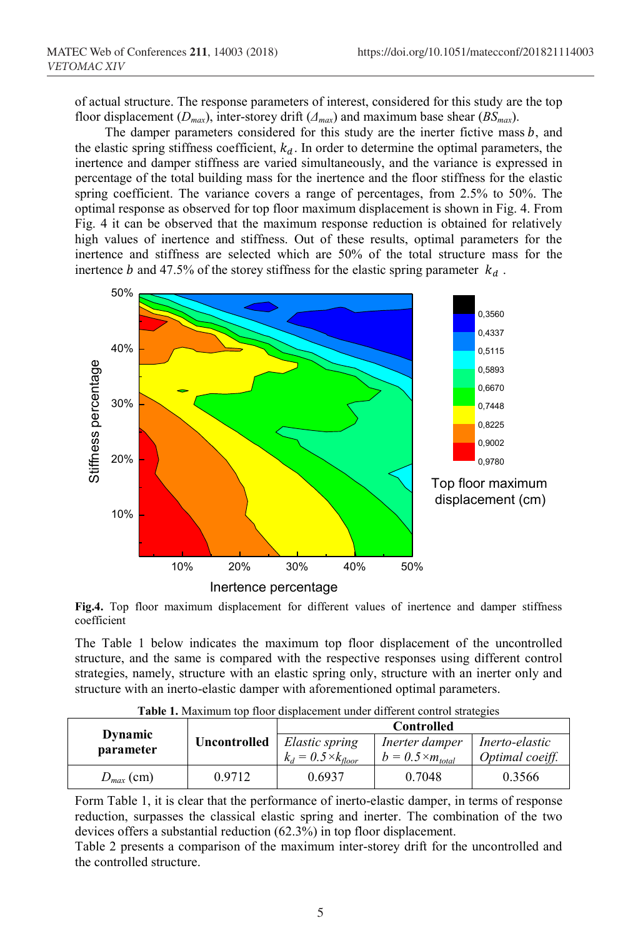of actual structure. The response parameters of interest, considered for this study are the top floor displacement ( $D_{max}$ ), inter-storey drift ( $\Delta_{max}$ ) and maximum base shear ( $BS_{max}$ ).

The damper parameters considered for this study are the inerter fictive mass  $b$ , and the elastic spring stiffness coefficient,  $k_d$ . In order to determine the optimal parameters, the inertence and damper stiffness are varied simultaneously, and the variance is expressed in percentage of the total building mass for the inertence and the floor stiffness for the elastic spring coefficient. The variance covers a range of percentages, from 2.5% to 50%. The optimal response as observed for top floor maximum displacement is shown in Fig. 4. From Fig. 4 it can be observed that the maximum response reduction is obtained for relatively high values of inertence and stiffness. Out of these results, optimal parameters for the inertence and stiffness are selected which are 50% of the total structure mass for the inertence b and 47.5% of the storey stiffness for the elastic spring parameter  $k_d$ .



**Fig.4.** Top floor maximum displacement for different values of inertence and damper stiffness coefficient

The Table 1 below indicates the maximum top floor displacement of the uncontrolled structure, and the same is compared with the respective responses using different control strategies, namely, structure with an elastic spring only, structure with an inerter only and structure with an inerto-elastic damper with aforementioned optimal parameters.

| <b>Dynamic</b><br>parameter | Uncontrolled | <b>Controlled</b>                              |                                              |                                   |
|-----------------------------|--------------|------------------------------------------------|----------------------------------------------|-----------------------------------|
|                             |              | Elastic spring<br>$k_d = 0.5 \times k_{floor}$ | Inerter damper<br>$b = 0.5 \times m_{total}$ | Inerto-elastic<br>Optimal coeiff. |
| $D_{max}$ (cm)              | 0.9712       | 0.6937                                         | 0.7048                                       | 0.3566                            |

**Table 1.** Maximum top floor displacement under different control strategies

Form Table 1, it is clear that the performance of inerto-elastic damper, in terms of response reduction, surpasses the classical elastic spring and inerter. The combination of the two devices offers a substantial reduction (62.3%) in top floor displacement.

Table 2 presents a comparison of the maximum inter-storey drift for the uncontrolled and the controlled structure.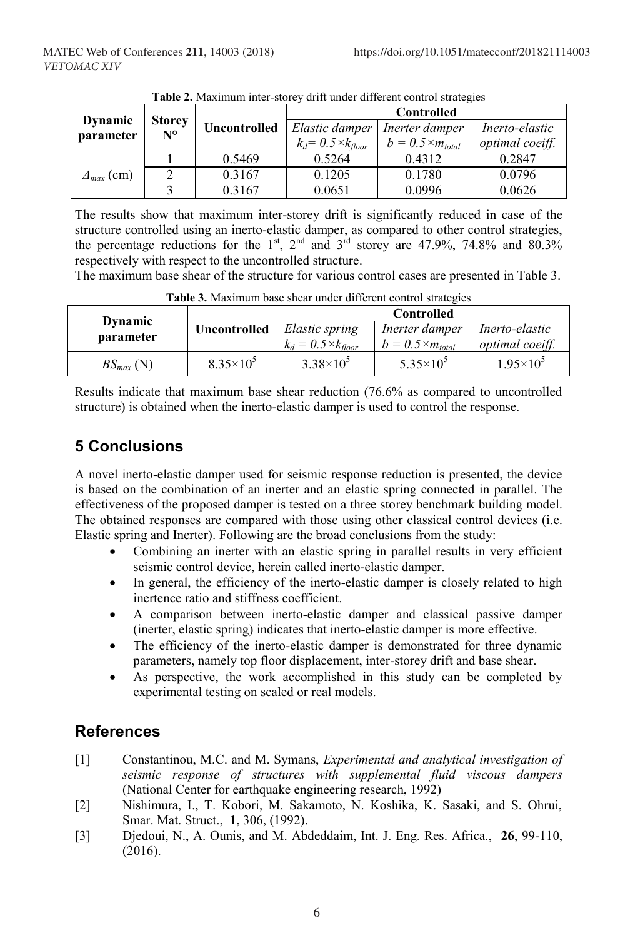| <b>Table 2.</b> Maximum inter-storey drift under different control strategies |                              |                     |                              |                            |                 |  |  |  |
|-------------------------------------------------------------------------------|------------------------------|---------------------|------------------------------|----------------------------|-----------------|--|--|--|
| <b>Dynamic</b><br>parameter                                                   | <b>Storey</b><br>$N^{\circ}$ | <b>Uncontrolled</b> | <b>Controlled</b>            |                            |                 |  |  |  |
|                                                                               |                              |                     | Elastic damper               | Inerter damper             | Inerto-elastic  |  |  |  |
|                                                                               |                              |                     | $k_d = 0.5 \times k_{floor}$ | $b = 0.5 \times m_{total}$ | optimal coeiff. |  |  |  |
| $\Delta_{max}$ (cm)                                                           |                              | 0.5469              | 0.5264                       | 0.4312                     | 0.2847          |  |  |  |
|                                                                               | $\gamma$                     | 0.3167              | 0.1205                       | 0.1780                     | 0.0796          |  |  |  |
|                                                                               |                              | 0.3167              | 0.0651                       | 0.0996                     | 0.0626          |  |  |  |

The results show that maximum inter-storey drift is significantly reduced in case of the structure controlled using an inerto-elastic damper, as compared to other control strategies, the percentage reductions for the  $1^{st}$ ,  $2^{nd}$  and  $3^{rd}$  storey are 47.9%, 74.8% and 80.3% respectively with respect to the uncontrolled structure.

The maximum base shear of the structure for various control cases are presented in Table 3.

| a wway yi siawililiwili Uwuy Uliywi Wilwyi Willylyayin yuliya u u wiyyatuu |                     |                              |                            |                      |  |  |  |
|----------------------------------------------------------------------------|---------------------|------------------------------|----------------------------|----------------------|--|--|--|
| <b>Dynamic</b><br>parameter                                                | <b>Uncontrolled</b> | <b>Controlled</b>            |                            |                      |  |  |  |
|                                                                            |                     | Elastic spring               | Inerter damper             | Inerto-elastic       |  |  |  |
|                                                                            |                     | $k_d = 0.5 \times k_{floor}$ | $b = 0.5 \times m_{total}$ | optimal coeiff.      |  |  |  |
| $BS_{max}$ (N)                                                             | $8.35\times10^{5}$  | $3.38\times10^{5}$           | $5.35 \times 10^{5}$       | $1.95 \times 10^{5}$ |  |  |  |

**Table 3.** Maximum base shear under different control strategies

Results indicate that maximum base shear reduction (76.6% as compared to uncontrolled structure) is obtained when the inerto-elastic damper is used to control the response.

## **5 Conclusions**

A novel inerto-elastic damper used for seismic response reduction is presented, the device is based on the combination of an inerter and an elastic spring connected in parallel. The effectiveness of the proposed damper is tested on a three storey benchmark building model. The obtained responses are compared with those using other classical control devices (i.e. Elastic spring and Inerter). Following are the broad conclusions from the study:

- Combining an inerter with an elastic spring in parallel results in very efficient seismic control device, herein called inerto-elastic damper.
- In general, the efficiency of the inerto-elastic damper is closely related to high inertence ratio and stiffness coefficient.
- A comparison between inerto-elastic damper and classical passive damper (inerter, elastic spring) indicates that inerto-elastic damper is more effective.
- The efficiency of the inerto-elastic damper is demonstrated for three dynamic parameters, namely top floor displacement, inter-storey drift and base shear.
- As perspective, the work accomplished in this study can be completed by experimental testing on scaled or real models.

### **References**

- [1] Constantinou, M.C. and M. Symans, *Experimental and analytical investigation of seismic response of structures with supplemental fluid viscous dampers* (National Center for earthquake engineering research, 1992)
- [2] Nishimura, I., T. Kobori, M. Sakamoto, N. Koshika, K. Sasaki, and S. Ohrui, Smar. Mat. Struct., **1**, 306, (1992).
- [3] Djedoui, N., A. Ounis, and M. Abdeddaim, Int. J. Eng. Res. Africa., **26**, 99-110, (2016).